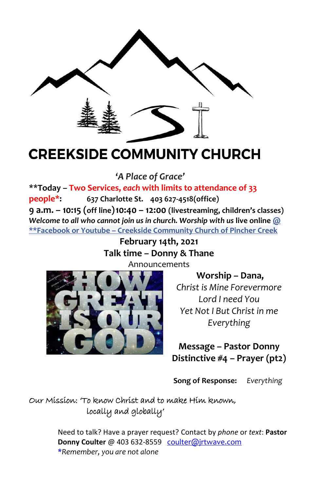

# **CREEKSIDE COMMUNITY CHURCH**

**'***A Place of Grace'*

**\*\*Today – Two Services,** *each* **with limits to attendance of 33 people\*: 637 Charlotte St. 403 627-4518(office) 9 a.m. – 10:15 (off line)10:40 – 12:00 (livestreaming, children's classes)** *Welcome to all who cannot join us in church. Worship with us* **live online @ \*\*Facebook or Youtube – Creekside Community Church of Pincher Creek**

**February 14th, 2021 Talk time – Donny & Thane**



Announcements

**Worship – Dana,** *Christ is Mine Forevermore Lord I need You Yet Not I But Christ in me Everything*

**Message – Pastor Donny Distinctive #4 – Prayer (pt2)**

**Song of Response:** *Everything*

## Our Mission: 'To know Christ and to make Him known, locally and globally'

Need to talk? Have a prayer request? Contact by *phone* or *text*: **Pastor Donny Coulter** @ 403 632-8559 [coulter@jrtwave.com](mailto:coulter@jrtwave.com)  \**Remember, you are not alone*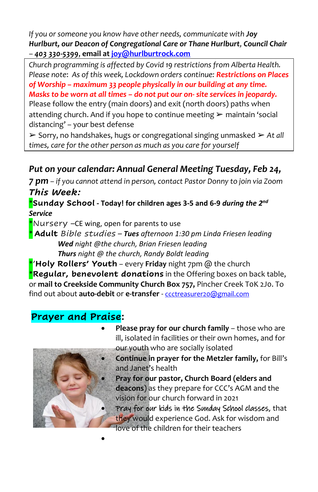*If you or someone you know have other needs, communicate with Joy Hurlburt, our Deacon of Congregational Care or Thane Hurlburt, Council Chair – 403 330-5399*, **email a[t joy@hurlburtrock.com](mailto:joy@hurlburtrock.com)**

*Church programming is affected by Covid 19 restrictions from Alberta Health. Please note*: *As of this week, Lockdown orders continue: Restrictions on Places of Worship – maximum 33 people physically in our building at any time. Masks to be worn at all times – do not put our on- site services in jeopardy.*  Please follow the entry (main doors) and exit (north doors) paths when attending church. And if you hope to continue meeting  $\triangleright$  maintain 'social distancing' – your best defense

➢ Sorry, no handshakes, hugs or congregational singing unmasked ➢ *At all times, care for the other person as much as you care for yourself*

## *Put on your calendar: Annual General Meeting Tuesday, Feb 24,*

*7 pm – if you cannot attend in person, contact Pastor Donny to join via Zoom This Week:*

\***Sunday School - Today! for children ages 3-5 and 6-9** *during the 2 nd Service*

\*Nursery  $-CE$  wing, open for parents to use

[•](https://creativecommons.org/licenses/by-nc-sa/3.0/)

\* **Adult** *Bible studies – Tues afternoon 1:30 pm Linda Friesen leading Wed night @the church, Brian Friesen leading Thurs night @ the church, Randy Boldt leading*

\*'**Holy Rollers' Youth** *–* every **Friday** night 7pm @ the church \***Regular, benevolent donations** in the Offering boxes on back table, or **mail to Creekside Community Church Box 757,** Pincher Creek T0K 2J0. To find out about **auto-debit** or **e-transfer** - [ccctreasurer20@gmail.com](mailto:ccctreasurer20@gmail.com)

## **Prayer and Praise:**



- **Please pray for our church family**  those who are ill, isolated in facilities or their own homes, and for our youth who are socially isolated
	- **Continue in prayer for the Metzler family,** for Bill's and Janet's health
- **Pray for our pastor, Church Board (elders and deacons**) as they prepare for CCC's AGM and the vision for our church forward in 2021
- Pray for our kids in the Sunday School classes, that they would experience God. Ask for wisdom and love of the children for their teachers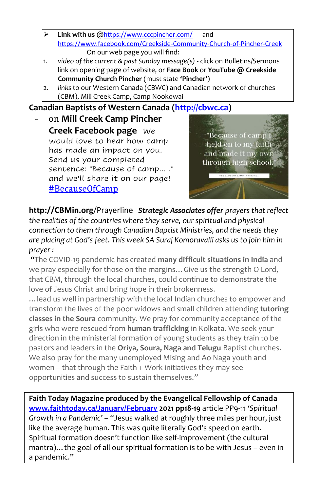- ➢ **Link with us** @<https://www.cccpincher.com/> and <https://www.facebook.com/Creekside-Community-Church-of-Pincher-Creek> On our web page you will find:
- 1. *video of the current & past Sunday message(s)* click on Bulletins/Sermons link on opening page of website, or **Face Book** or **YouTube @ Creekside Community Church Pincher** (must state **'Pincher'**)
- 2. *links* to our Western Canada (CBWC) and Canadian network of churches (CBM), Mill Creek Camp, Camp Nookowai

## **Canadian Baptists of Western Canada [\(http://cbwc.ca\)](http://cbwc.ca/)**

- on **Mill Creek Camp Pincher Creek Facebook page** We would love to hear how camp has made an impact on you. Send us your completed sentence: "Because of camp... ." and we'll share it on our page! [#BecauseOfCamp](https://www.facebook.com/hashtag/becauseofcamp?__eep__=6&__cft__%5b0%5d=AZUh5XvgLLH2jojc59xrrUGTKSzQP0a9cgyVcfzSr-ThFw9pXNIhnJfcKLcMe65oXBfdebPs1jfmdoHmlCHKhrI0YLLHcGlq9PKhkx4310UsrP7i9i25bxl2te-4E49-LjnjTYSgmcvii4GA6kfW8-YK&__tn__=*NK-R)



**http://CBMin.org**/Prayerline *Strategic Associates offer prayers that reflect the realities of the countries where they serve, our spiritual and physical connection to them through Canadian Baptist Ministries, and the needs they are placing at God's feet. This week SA Suraj Komoravalli asks us to join him in prayer :*

*"*The COVID-19 pandemic has created **many difficult situations in India** and we pray especially for those on the margins…Give us the strength O Lord, that CBM, through the local churches, could continue to demonstrate the love of Jesus Christ and bring hope in their brokenness.

…lead us well in partnership with the local Indian churches to empower and transform the lives of the poor widows and small children attending **tutoring classes in the Soura** community. We pray for community acceptance of the girls who were rescued from **human trafficking** in Kolkata. We seek your direction in the ministerial formation of young students as they train to be pastors and leaders in the **Oriya, Soura, Naga and Telugu** Baptist churches. We also pray for the many unemployed Mising and Ao Naga youth and women – that through the Faith + Work initiatives they may see opportunities and success to sustain themselves."

**Faith Today Magazine produced by the Evangelical Fellowship of Canada [www.faithtoday.ca/January/February](http://www.faithtoday.ca/January/February) 2021 pp18-19** article PP9-11 *'Spiritual Growth in a Pandemic'* – "Jesus walked at roughly three miles per hour, just like the average human. This was quite literally God's speed on earth. Spiritual formation doesn't function like self-improvement (the cultural mantra)... the goal of all our spiritual formation is to be with Jesus - even in a pandemic."